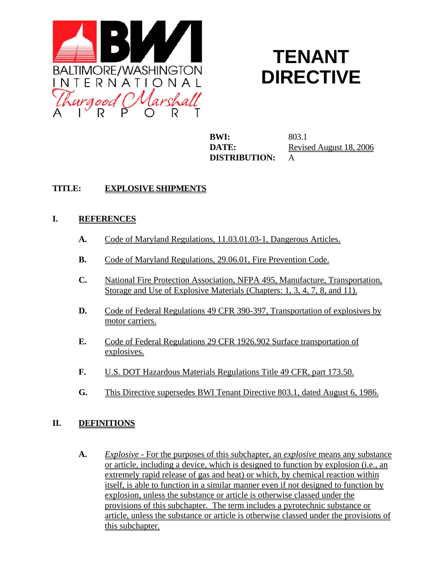

# **TENANT DIRECTIVE**

**BWI:** 803.1 **DISTRIBUTION:** A

**DATE:** Revised August 18, 2006

# **TITLE: EXPLOSIVE SHIPMENTS**

### **I. REFERENCES**

- **A.** Code of Maryland Regulations, 11.03.01.03-1, Dangerous Articles.
- **B.** Code of Maryland Regulations, 29.06.01, Fire Prevention Code.
- **C.** National Fire Protection Association, NFPA 495, Manufacture, Transportation, Storage and Use of Explosive Materials (Chapters: 1, 3, 4, 7, 8, and 11).
- **D.** Code of Federal Regulations 49 CFR 390-397, Transportation of explosives by motor carriers.
- **E.** Code of Federal Regulations 29 CFR 1926.902 Surface transportation of explosives.
- **F.** U.S. DOT Hazardous Materials Regulations Title 49 CFR, part 173.50.
- **G.** This Directive supersedes BWI Tenant Directive 803.1, dated August 6, 1986.

# **II. DEFINITIONS**

**A.** *Explosive -* For the purposes of this subchapter, an *explosive* means any substance or article, including a device, which is designed to function by explosion (i.e.*,* an extremely rapid release of gas and heat) or which, by chemical reaction within itself, is able to function in a similar manner even if not designed to function by explosion, unless the substance or article is otherwise classed under the provisions of this subchapter. The term includes a pyrotechnic substance or article, unless the substance or article is otherwise classed under the provisions of this subchapter.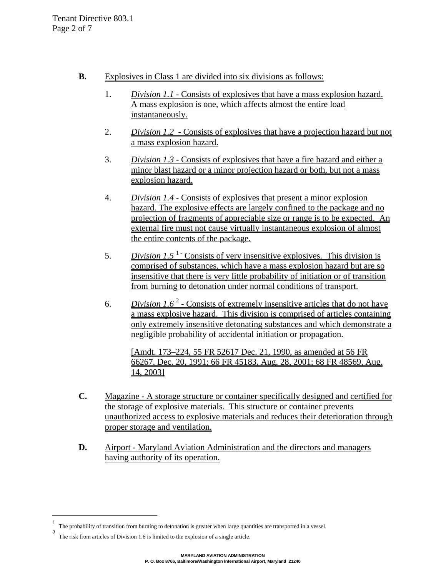- **B.** Explosives in Class 1 are divided into six divisions as follows:
	- 1. *Division 1.1* Consists of explosives that have a mass explosion hazard. A mass explosion is one, which affects almost the entire load instantaneously.
	- 2. *Division 1.2* Consists of explosives that have a projection hazard but not a mass explosion hazard.
	- 3. *Division 1.3 -* Consists of explosives that have a fire hazard and either a minor blast hazard or a minor projection hazard or both, but not a mass explosion hazard.
	- 4. *Division 1.4 -* Consists of explosives that present a minor explosion hazard. The explosive effects are largely confined to the package and no projection of fragments of appreciable size or range is to be expected. An external fire must not cause virtually instantaneous explosion of almost the entire contents of the package.
	- 5. *Division 1.5*<sup> $1$ -</sup> Consists of very insensitive explosives. This division is comprised of substances, which have a mass explosion hazard but are so insensitive that there is very little probability of initiation or of transition from burning to detonation under normal conditions of transport.
	- 6. *Division 1.6*  $2$  Consists of extremely insensitive articles that do not have a mass explosive hazard. This division is comprised of articles containing only extremely insensitive detonating substances and which demonstrate a negligible probability of accidental initiation or propagation.

[Amdt. 173–224, 55 FR 52617 Dec. 21, 1990, as amended at 56 FR 66267, Dec. 20, 1991; 66 FR 45183, Aug. 28, 2001; 68 FR 48569, Aug. 14, 2003]

- **C.** Magazine A storage structure or container specifically designed and certified for the storage of explosive materials. This structure or container prevents unauthorized access to explosive materials and reduces their deterioration through proper storage and ventilation.
- **D.** Airport Maryland Aviation Administration and the directors and managers having authority of its operation.

 $\overline{\phantom{0}}$ 

<sup>1</sup> The probability of transition from burning to detonation is greater when large quantities are transported in a vessel.

<sup>2</sup> The risk from articles of Division 1.6 is limited to the explosion of a single article.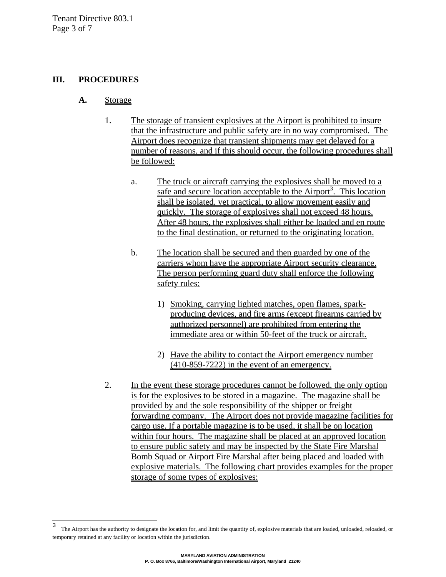#### **III. PROCEDURES**

- **A.** Storage
	- 1. The storage of transient explosives at the Airport is prohibited to insure that the infrastructure and public safety are in no way compromised. The Airport does recognize that transient shipments may get delayed for a number of reasons, and if this should occur, the following procedures shall be followed:
		- a. The truck or aircraft carrying the explosives shall be moved to a safe and secure location acceptable to the Airport<sup>3</sup>. This location shall be isolated, yet practical, to allow movement easily and quickly. The storage of explosives shall not exceed 48 hours. After 48 hours, the explosives shall either be loaded and en route to the final destination, or returned to the originating location.
		- b. The location shall be secured and then guarded by one of the carriers whom have the appropriate Airport security clearance. The person performing guard duty shall enforce the following safety rules:
			- 1) Smoking, carrying lighted matches, open flames, sparkproducing devices, and fire arms (except firearms carried by authorized personnel) are prohibited from entering the immediate area or within 50-feet of the truck or aircraft.
			- 2) Have the ability to contact the Airport emergency number (410-859-7222) in the event of an emergency.
	- 2. In the event these storage procedures cannot be followed, the only option is for the explosives to be stored in a magazine. The magazine shall be provided by and the sole responsibility of the shipper or freight forwarding company. The Airport does not provide magazine facilities for cargo use. If a portable magazine is to be used, it shall be on location within four hours. The magazine shall be placed at an approved location to ensure public safety and may be inspected by the State Fire Marshal Bomb Squad or Airport Fire Marshal after being placed and loaded with explosive materials. The following chart provides examples for the proper storage of some types of explosives:

 $\overline{\mathbf{3}}$ The Airport has the authority to designate the location for, and limit the quantity of, explosive materials that are loaded, unloaded, reloaded, or temporary retained at any facility or location within the jurisdiction.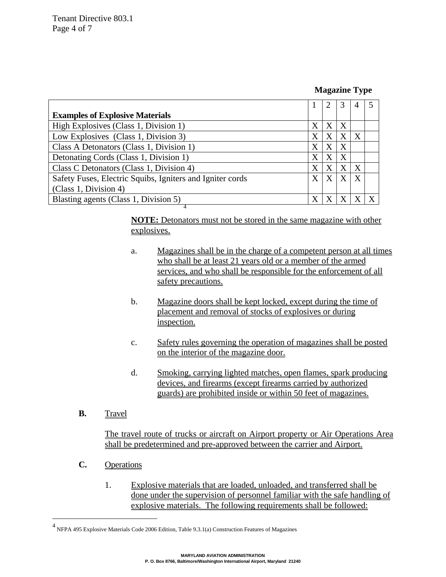#### **Magazine Type**

|              |   | 3 | 4                |  |
|--------------|---|---|------------------|--|
|              |   |   |                  |  |
| X            | X | X |                  |  |
| X            | X | X | X                |  |
| X            | X | X |                  |  |
| X            | X | X |                  |  |
| $\mathbf{X}$ | X | X | X                |  |
| X            | X |   | $\boldsymbol{X}$ |  |
|              |   |   |                  |  |
| X            |   |   |                  |  |
|              |   |   |                  |  |

**NOTE:** Detonators must not be stored in the same magazine with other explosives.

- a. Magazines shall be in the charge of a competent person at all times who shall be at least 21 years old or a member of the armed services, and who shall be responsible for the enforcement of all safety precautions.
- b. Magazine doors shall be kept locked, except during the time of placement and removal of stocks of explosives or during inspection.
- c. Safety rules governing the operation of magazines shall be posted on the interior of the magazine door.
- d. Smoking, carrying lighted matches, open flames, spark producing devices, and firearms (except firearms carried by authorized guards) are prohibited inside or within 50 feet of magazines.
- **B.** Travel

The travel route of trucks or aircraft on Airport property or Air Operations Area shall be predetermined and pre-approved between the carrier and Airport.

- **C.** Operations
	- 1. Explosive materials that are loaded, unloaded, and transferred shall be done under the supervision of personnel familiar with the safe handling of explosive materials. The following requirements shall be followed:

 4 NFPA 495 Explosive Materials Code 2006 Edition, Table 9.3.1(a) Construction Features of Magazines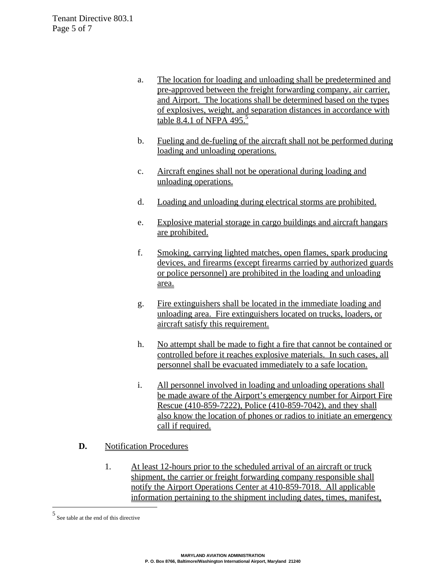- a. The location for loading and unloading shall be predetermined and pre-approved between the freight forwarding company, air carrier, and Airport. The locations shall be determined based on the types of explosives, weight, and separation distances in accordance with table 8.4.1 of NFPA 495.<sup>5</sup>
- b. Fueling and de-fueling of the aircraft shall not be performed during loading and unloading operations.
- c. Aircraft engines shall not be operational during loading and unloading operations.
- d. Loading and unloading during electrical storms are prohibited.
- e. Explosive material storage in cargo buildings and aircraft hangars are prohibited.
- f. Smoking, carrying lighted matches, open flames, spark producing devices, and firearms (except firearms carried by authorized guards or police personnel) are prohibited in the loading and unloading area.
- g. Fire extinguishers shall be located in the immediate loading and unloading area. Fire extinguishers located on trucks, loaders, or aircraft satisfy this requirement.
- h. No attempt shall be made to fight a fire that cannot be contained or controlled before it reaches explosive materials. In such cases, all personnel shall be evacuated immediately to a safe location.
- i. All personnel involved in loading and unloading operations shall be made aware of the Airport's emergency number for Airport Fire Rescue (410-859-7222), Police (410-859-7042), and they shall also know the location of phones or radios to initiate an emergency call if required.
- **D.** Notification Procedures
	- 1. At least 12-hours prior to the scheduled arrival of an aircraft or truck shipment, the carrier or freight forwarding company responsible shall notify the Airport Operations Center at 410-859-7018. All applicable information pertaining to the shipment including dates, times, manifest,

i<br>Li

<sup>5</sup> See table at the end of this directive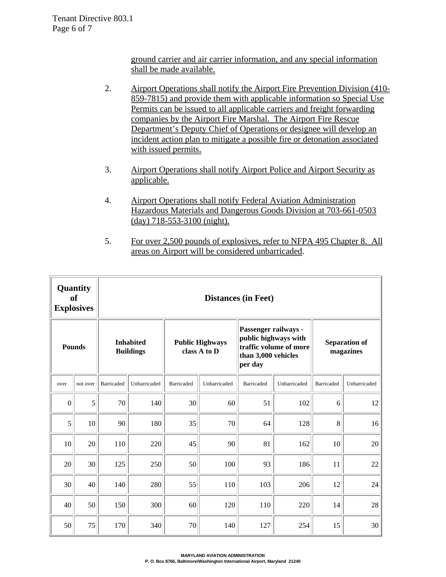ground carrier and air carrier information, and any special information shall be made available.

- 2. Airport Operations shall notify the Airport Fire Prevention Division (410-859-7815) and provide them with applicable information so Special Use Permits can be issued to all applicable carriers and freight forwarding companies by the Airport Fire Marshal. The Airport Fire Rescue Department's Deputy Chief of Operations or designee will develop an incident action plan to mitigate a possible fire or detonation associated with issued permits.
- 3. Airport Operations shall notify Airport Police and Airport Security as applicable.
- 4. Airport Operations shall notify Federal Aviation Administration Hazardous Materials and Dangerous Goods Division at 703-661-0503 (day) 718-553-3100 (night).
- 5. For over 2,500 pounds of explosives, refer to NFPA 495 Chapter 8. All areas on Airport will be considered unbarricaded.

|                  | Quantity<br><b>of</b><br><b>Explosives</b> | <b>Distances (in Feet)</b>           |              |                                        |              |                                                                                                          |              |                                   |              |  |
|------------------|--------------------------------------------|--------------------------------------|--------------|----------------------------------------|--------------|----------------------------------------------------------------------------------------------------------|--------------|-----------------------------------|--------------|--|
| <b>Pounds</b>    |                                            | <b>Inhabited</b><br><b>Buildings</b> |              | <b>Public Highways</b><br>class A to D |              | Passenger railways -<br>public highways with<br>traffic volume of more<br>than 3,000 vehicles<br>per day |              | <b>Separation of</b><br>magazines |              |  |
| over             | not over                                   | <b>Barricaded</b>                    | Unbarricaded | Barricaded                             | Unbarricaded | Barricaded                                                                                               | Unbarricaded | <b>Barricaded</b>                 | Unbarricaded |  |
| $\boldsymbol{0}$ | 5                                          | 70                                   | 140          | 30                                     | 60           | 51                                                                                                       | 102          | 6                                 | 12           |  |
| 5                | 10                                         | 90                                   | 180          | 35                                     | 70           | 64                                                                                                       | 128          | 8                                 | 16           |  |
| 10               | 20                                         | 110                                  | 220          | 45                                     | 90           | 81                                                                                                       | 162          | 10                                | 20           |  |
| 20               | 30                                         | 125                                  | 250          | 50                                     | 100          | 93                                                                                                       | 186          | 11                                | $22\,$       |  |
| 30               | 40                                         | 140                                  | 280          | 55                                     | 110          | 103                                                                                                      | 206          | 12                                | 24           |  |
| 40               | 50                                         | 150                                  | 300          | 60                                     | 120          | 110                                                                                                      | 220          | 14                                | 28           |  |
| 50               | 75                                         | 170                                  | 340          | 70                                     | 140          | 127                                                                                                      | 254          | 15                                | 30           |  |